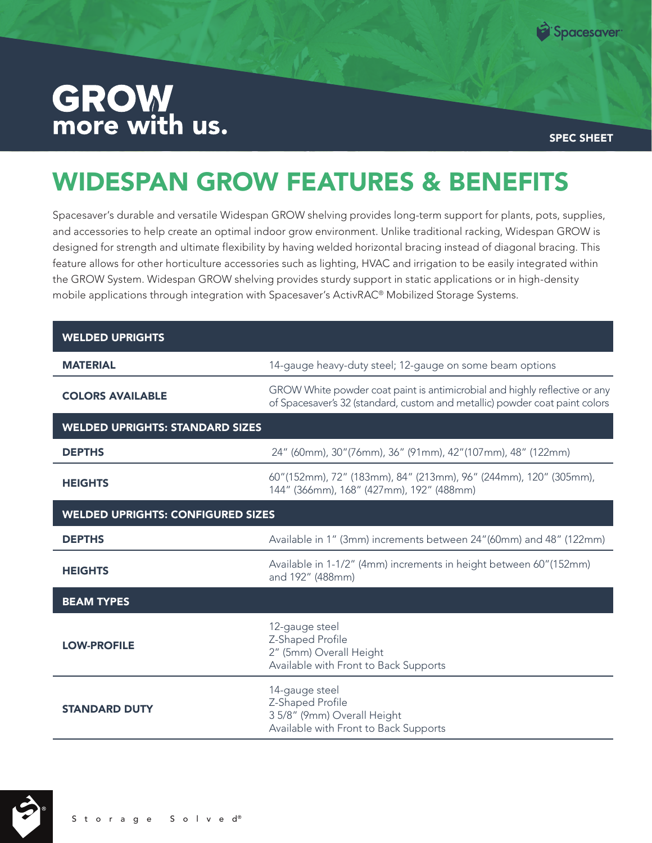

## **GROW**<br>more with us.

SPEC SHEET

## WIDESPAN GROW FEATURES & BENEFITS

Spacesaver's durable and versatile Widespan GROW shelving provides long-term support for plants, pots, supplies, and accessories to help create an optimal indoor grow environment. Unlike traditional racking, Widespan GROW is designed for strength and ultimate flexibility by having welded horizontal bracing instead of diagonal bracing. This feature allows for other horticulture accessories such as lighting, HVAC and irrigation to be easily integrated within the GROW System. Widespan GROW shelving provides sturdy support in static applications or in high-density mobile applications through integration with Spacesaver's ActivRAC® Mobilized Storage Systems.

| <b>WELDED UPRIGHTS</b>                   |                                                                                                                                                           |
|------------------------------------------|-----------------------------------------------------------------------------------------------------------------------------------------------------------|
| <b>MATERIAL</b>                          | 14-gauge heavy-duty steel; 12-gauge on some beam options                                                                                                  |
| <b>COLORS AVAILABLE</b>                  | GROW White powder coat paint is antimicrobial and highly reflective or any<br>of Spacesaver's 32 (standard, custom and metallic) powder coat paint colors |
| <b>WELDED UPRIGHTS: STANDARD SIZES</b>   |                                                                                                                                                           |
| <b>DEPTHS</b>                            | 24" (60mm), 30" (76mm), 36" (91mm), 42" (107mm), 48" (122mm)                                                                                              |
| <b>HEIGHTS</b>                           | 60"(152mm), 72" (183mm), 84" (213mm), 96" (244mm), 120" (305mm),<br>144" (366mm), 168" (427mm), 192" (488mm)                                              |
| <b>WELDED UPRIGHTS: CONFIGURED SIZES</b> |                                                                                                                                                           |
| <b>DEPTHS</b>                            | Available in 1" (3mm) increments between 24" (60mm) and 48" (122mm)                                                                                       |
| <b>HEIGHTS</b>                           | Available in 1-1/2" (4mm) increments in height between 60" (152mm)<br>and 192" (488mm)                                                                    |
| <b>BEAM TYPES</b>                        |                                                                                                                                                           |
| <b>LOW-PROFILE</b>                       | 12-gauge steel<br>Z-Shaped Profile<br>2" (5mm) Overall Height<br>Available with Front to Back Supports                                                    |
| <b>STANDARD DUTY</b>                     | 14-gauge steel<br>Z-Shaped Profile<br>3 5/8" (9mm) Overall Height<br>Available with Front to Back Supports                                                |